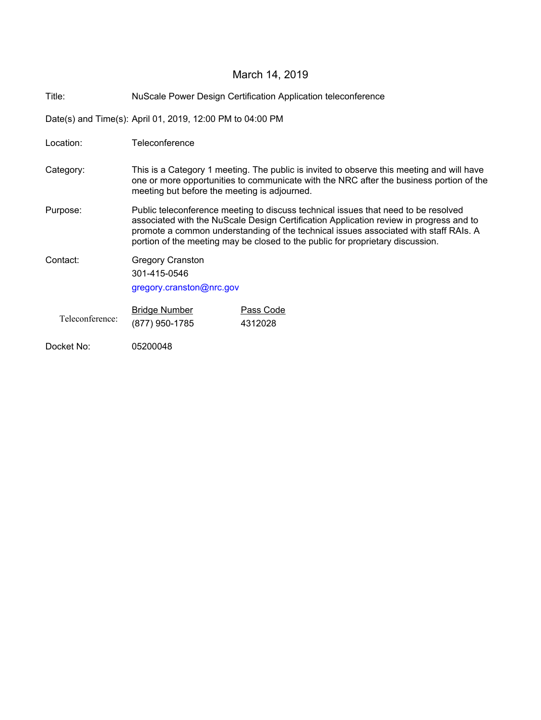# March 14, 2019

Title: NuScale Power Design Certification Application teleconference

Date(s) and Time(s): April 01, 2019, 12:00 PM to 04:00 PM

| Location:       | Teleconference                                                                                                                                                                                                                                                                                                                                         |                      |
|-----------------|--------------------------------------------------------------------------------------------------------------------------------------------------------------------------------------------------------------------------------------------------------------------------------------------------------------------------------------------------------|----------------------|
| Category:       | This is a Category 1 meeting. The public is invited to observe this meeting and will have<br>one or more opportunities to communicate with the NRC after the business portion of the<br>meeting but before the meeting is adjourned.                                                                                                                   |                      |
| Purpose:        | Public teleconference meeting to discuss technical issues that need to be resolved<br>associated with the NuScale Design Certification Application review in progress and to<br>promote a common understanding of the technical issues associated with staff RAIs. A<br>portion of the meeting may be closed to the public for proprietary discussion. |                      |
| Contact:        | <b>Gregory Cranston</b><br>301-415-0546<br>gregory.cranston@nrc.gov                                                                                                                                                                                                                                                                                    |                      |
| Teleconference: | <b>Bridge Number</b><br>(877) 950-1785                                                                                                                                                                                                                                                                                                                 | Pass Code<br>4312028 |
| Docket No:      | 05200048                                                                                                                                                                                                                                                                                                                                               |                      |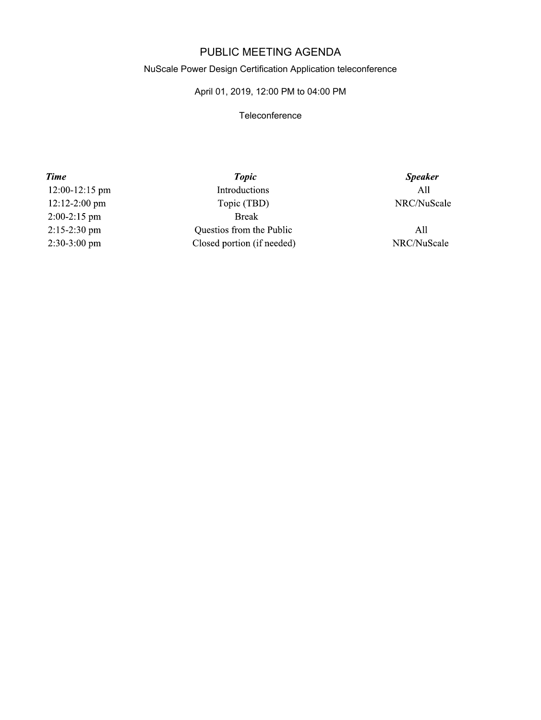## PUBLIC MEETING AGENDA

#### NuScale Power Design Certification Application teleconference

### April 01, 2019, 12:00 PM to 04:00 PM

#### **Teleconference**

**Time** 12:00-12:15 pm 12:12-2:00 pm  $2:00-2:15$  pm 2:15-2:30 pm 2:30-3:00 pm

**Topic** Introductions Topic (TBD) **Break** Questios from the Public Closed portion (if needed)

**Speaker**  $All$ NRC/NuScale

 $All$ NRC/NuScale